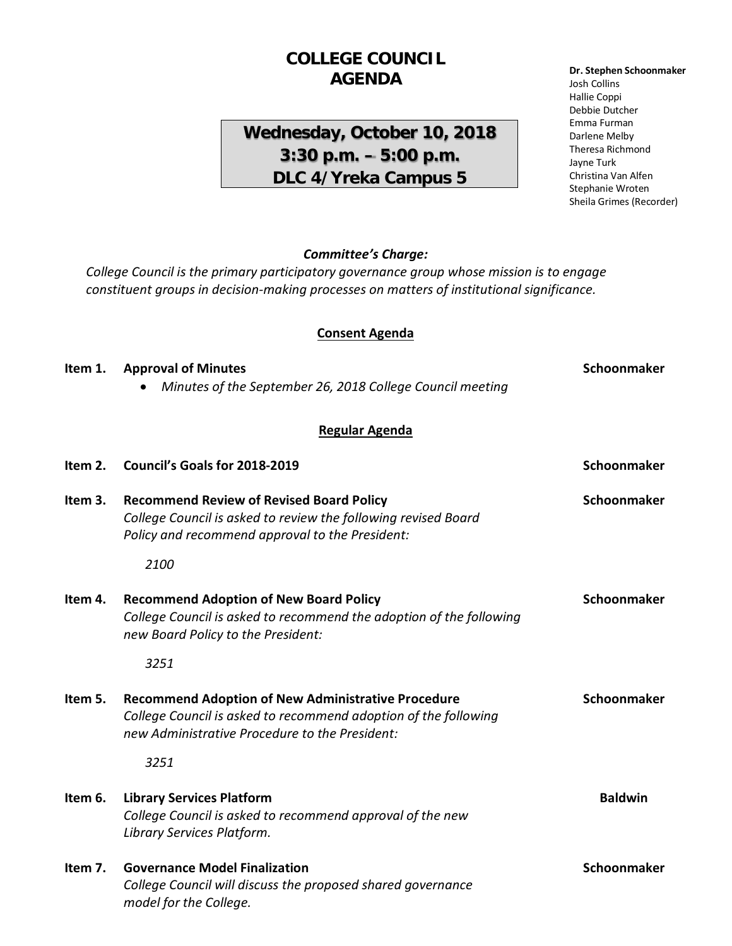## **COLLEGE COUNCIL AGENDA**

## **Wednesday, October 10, 2018 3:30 p.m. – 5:00 p.m. DLC 4/Yreka Campus 5**

#### **Dr. Stephen Schoonmaker** Josh Collins Hallie Coppi Debbie Dutcher Emma Furman Darlene Melby Theresa Richmond Jayne Turk Christina Van Alfen Stephanie Wroten Sheila Grimes (Recorder)

#### *Committee's Charge:*

*College Council is the primary participatory governance group whose mission is to engage constituent groups in decision-making processes on matters of institutional significance.* 

#### **Consent Agenda**

# **Item 1.** Approval of Minutes **Schoonmaker Schoonmaker** • *Minutes of the September 26, 2018 College Council meeting*

### **Regular Agenda**

| Item 2. | Council's Goals for 2018-2019                                                                                                                                                  | Schoonmaker    |
|---------|--------------------------------------------------------------------------------------------------------------------------------------------------------------------------------|----------------|
| Item 3. | <b>Recommend Review of Revised Board Policy</b><br>College Council is asked to review the following revised Board<br>Policy and recommend approval to the President:           | Schoonmaker    |
|         | 2100                                                                                                                                                                           |                |
| Item 4. | <b>Recommend Adoption of New Board Policy</b><br>College Council is asked to recommend the adoption of the following<br>new Board Policy to the President:                     | Schoonmaker    |
|         | 3251                                                                                                                                                                           |                |
| Item 5. | <b>Recommend Adoption of New Administrative Procedure</b><br>College Council is asked to recommend adoption of the following<br>new Administrative Procedure to the President: | Schoonmaker    |
|         | 3251                                                                                                                                                                           |                |
| Item 6. | <b>Library Services Platform</b><br>College Council is asked to recommend approval of the new<br>Library Services Platform.                                                    | <b>Baldwin</b> |
| Item 7. | <b>Governance Model Finalization</b><br>College Council will discuss the proposed shared governance<br>model for the College.                                                  | Schoonmaker    |